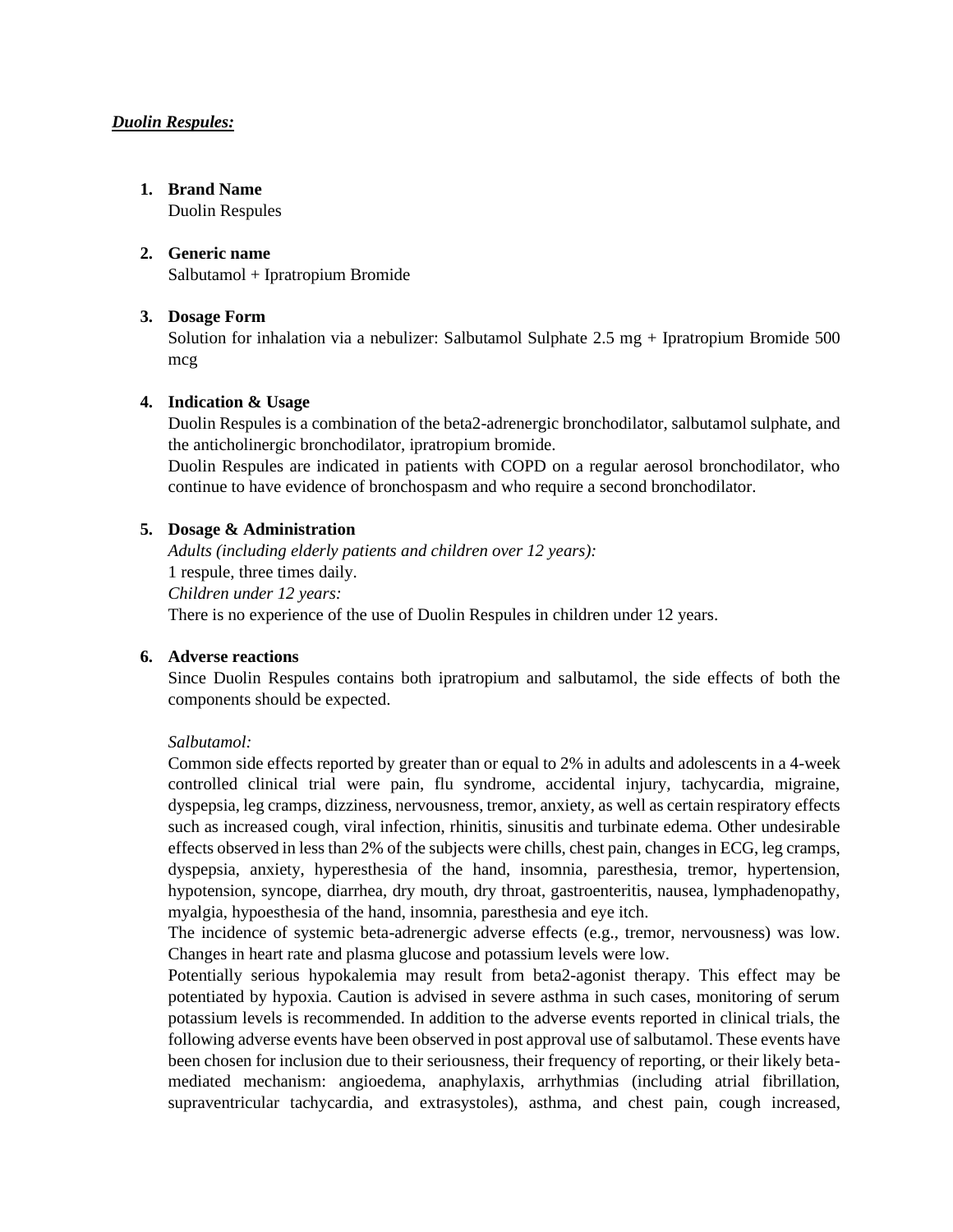# *Duolin Respules:*

# **1. Brand Name**

Duolin Respules

# **2. Generic name**

Salbutamol + Ipratropium Bromide

# **3. Dosage Form**

Solution for inhalation via a nebulizer: Salbutamol Sulphate 2.5 mg + Ipratropium Bromide 500 mcg

# **4. Indication & Usage**

Duolin Respules is a combination of the beta2-adrenergic bronchodilator, salbutamol sulphate, and the anticholinergic bronchodilator, ipratropium bromide.

Duolin Respules are indicated in patients with COPD on a regular aerosol bronchodilator, who continue to have evidence of bronchospasm and who require a second bronchodilator.

# **5. Dosage & Administration**

*Adults (including elderly patients and children over 12 years):* 1 respule, three times daily. *Children under 12 years:* There is no experience of the use of Duolin Respules in children under 12 years.

# **6. Adverse reactions**

Since Duolin Respules contains both ipratropium and salbutamol, the side effects of both the components should be expected.

# *Salbutamol:*

Common side effects reported by greater than or equal to 2% in adults and adolescents in a 4-week controlled clinical trial were pain, flu syndrome, accidental injury, tachycardia, migraine, dyspepsia, leg cramps, dizziness, nervousness, tremor, anxiety, as well as certain respiratory effects such as increased cough, viral infection, rhinitis, sinusitis and turbinate edema. Other undesirable effects observed in less than 2% of the subjects were chills, chest pain, changes in ECG, leg cramps, dyspepsia, anxiety, hyperesthesia of the hand, insomnia, paresthesia, tremor, hypertension, hypotension, syncope, diarrhea, dry mouth, dry throat, gastroenteritis, nausea, lymphadenopathy, myalgia, hypoesthesia of the hand, insomnia, paresthesia and eye itch.

The incidence of systemic beta-adrenergic adverse effects (e.g., tremor, nervousness) was low. Changes in heart rate and plasma glucose and potassium levels were low.

Potentially serious hypokalemia may result from beta2-agonist therapy. This effect may be potentiated by hypoxia. Caution is advised in severe asthma in such cases, monitoring of serum potassium levels is recommended. In addition to the adverse events reported in clinical trials, the following adverse events have been observed in post approval use of salbutamol. These events have been chosen for inclusion due to their seriousness, their frequency of reporting, or their likely betamediated mechanism: angioedema, anaphylaxis, arrhythmias (including atrial fibrillation, supraventricular tachycardia, and extrasystoles), asthma, and chest pain, cough increased,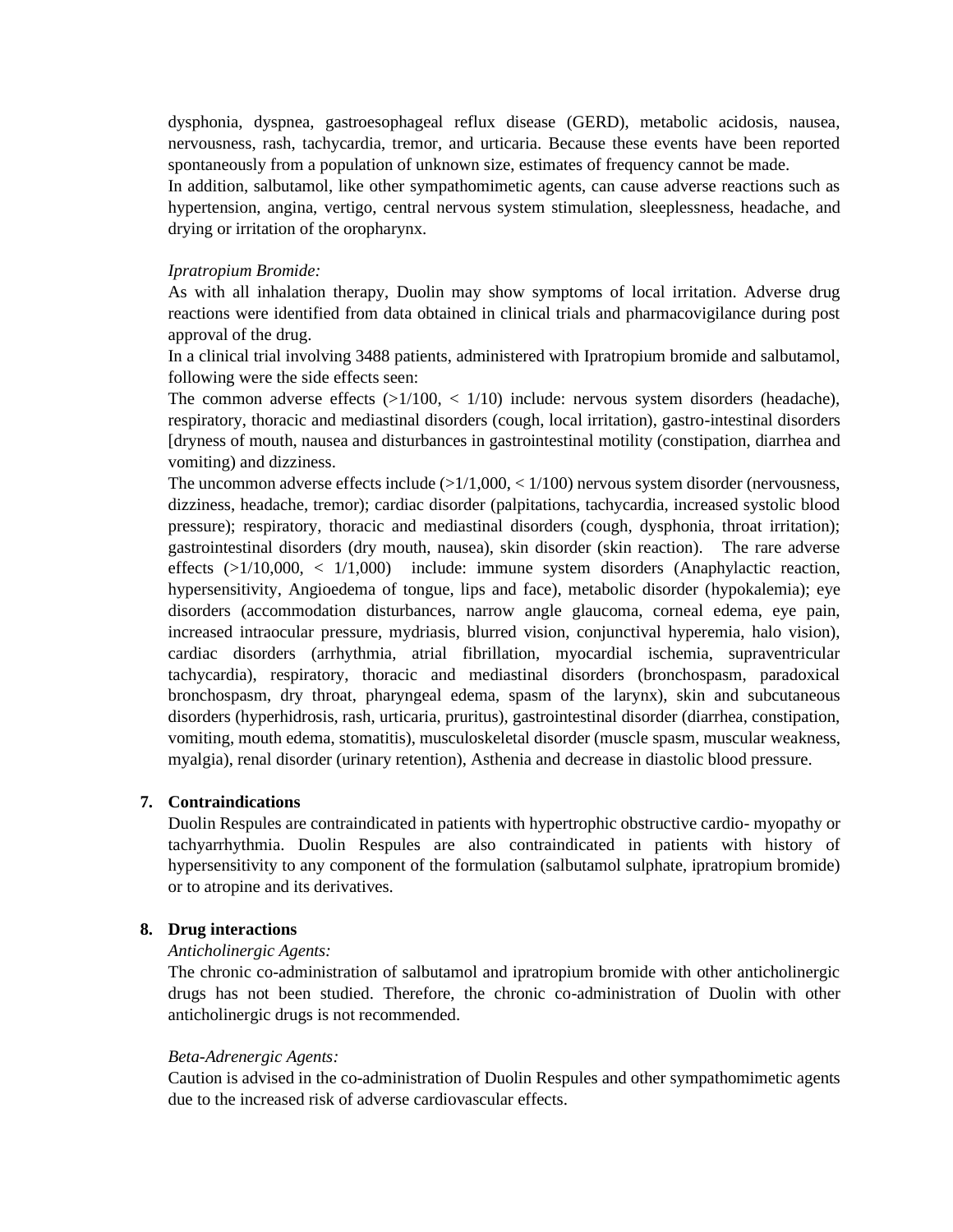dysphonia, dyspnea, gastroesophageal reflux disease (GERD), metabolic acidosis, nausea, nervousness, rash, tachycardia, tremor, and urticaria. Because these events have been reported spontaneously from a population of unknown size, estimates of frequency cannot be made.

In addition, salbutamol, like other sympathomimetic agents, can cause adverse reactions such as hypertension, angina, vertigo, central nervous system stimulation, sleeplessness, headache, and drying or irritation of the oropharynx.

#### *Ipratropium Bromide:*

As with all inhalation therapy, Duolin may show symptoms of local irritation. Adverse drug reactions were identified from data obtained in clinical trials and pharmacovigilance during post approval of the drug.

In a clinical trial involving 3488 patients, administered with Ipratropium bromide and salbutamol, following were the side effects seen:

The common adverse effects  $(>1/100, < 1/10)$  include: nervous system disorders (headache), respiratory, thoracic and mediastinal disorders (cough, local irritation), gastro-intestinal disorders [dryness of mouth, nausea and disturbances in gastrointestinal motility (constipation, diarrhea and vomiting) and dizziness.

The uncommon adverse effects include  $(>1/1,000, < 1/100)$  nervous system disorder (nervousness, dizziness, headache, tremor); cardiac disorder (palpitations, tachycardia, increased systolic blood pressure); respiratory, thoracic and mediastinal disorders (cough, dysphonia, throat irritation); gastrointestinal disorders (dry mouth, nausea), skin disorder (skin reaction). The rare adverse effects  $(>1/10,000, < 1/1,000)$  include: immune system disorders (Anaphylactic reaction, hypersensitivity, Angioedema of tongue, lips and face), metabolic disorder (hypokalemia); eye disorders (accommodation disturbances, narrow angle glaucoma, corneal edema, eye pain, increased intraocular pressure, mydriasis, blurred vision, conjunctival hyperemia, halo vision), cardiac disorders (arrhythmia, atrial fibrillation, myocardial ischemia, supraventricular tachycardia), respiratory, thoracic and mediastinal disorders (bronchospasm, paradoxical bronchospasm, dry throat, pharyngeal edema, spasm of the larynx), skin and subcutaneous disorders (hyperhidrosis, rash, urticaria, pruritus), gastrointestinal disorder (diarrhea, constipation, vomiting, mouth edema, stomatitis), musculoskeletal disorder (muscle spasm, muscular weakness, myalgia), renal disorder (urinary retention), Asthenia and decrease in diastolic blood pressure.

### **7. Contraindications**

Duolin Respules are contraindicated in patients with hypertrophic obstructive cardio- myopathy or tachyarrhythmia. Duolin Respules are also contraindicated in patients with history of hypersensitivity to any component of the formulation (salbutamol sulphate, ipratropium bromide) or to atropine and its derivatives.

#### **8. Drug interactions**

#### *Anticholinergic Agents:*

The chronic co-administration of salbutamol and ipratropium bromide with other anticholinergic drugs has not been studied. Therefore, the chronic co-administration of Duolin with other anticholinergic drugs is not recommended.

#### *Beta-Adrenergic Agents:*

Caution is advised in the co-administration of Duolin Respules and other sympathomimetic agents due to the increased risk of adverse cardiovascular effects.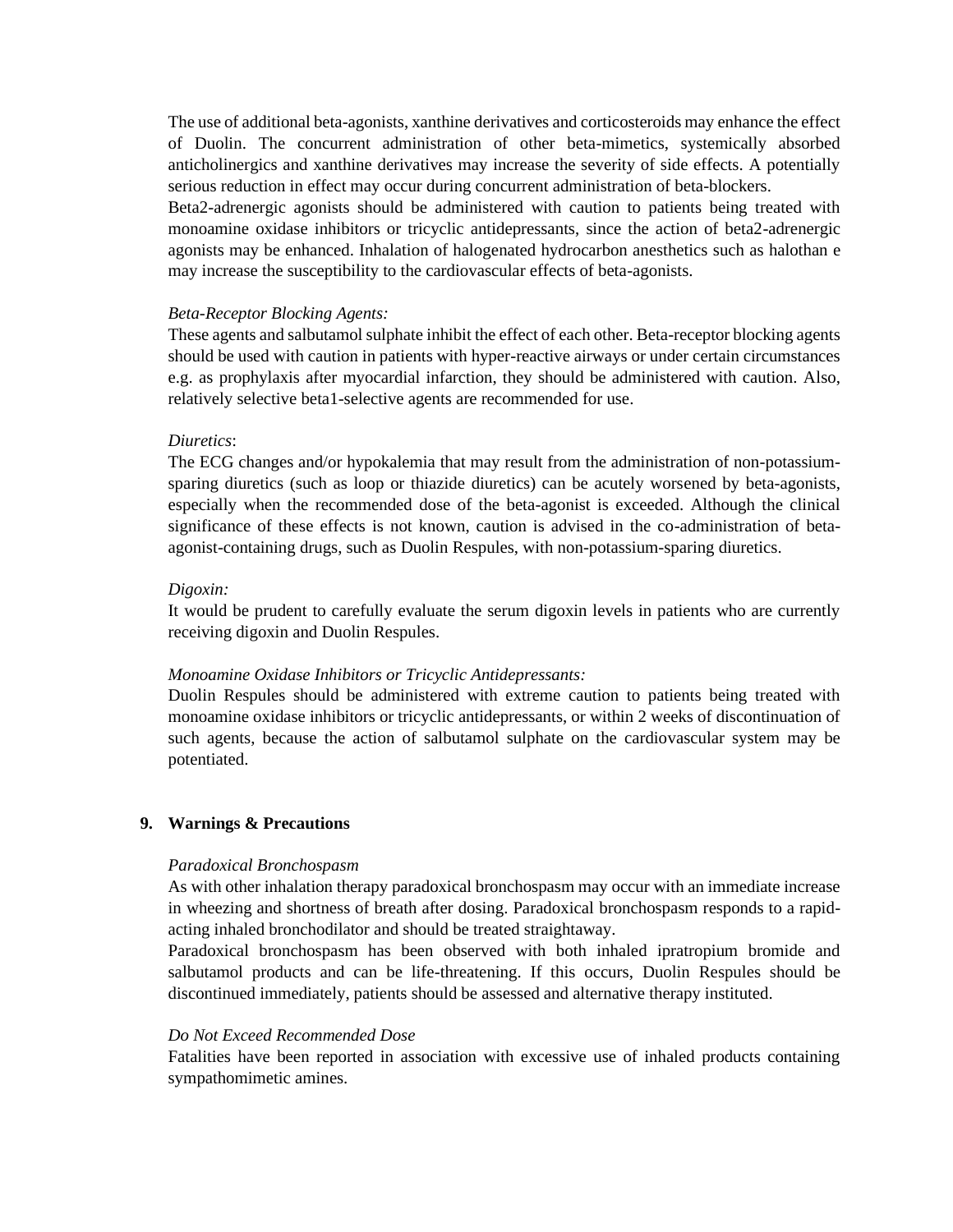The use of additional beta-agonists, xanthine derivatives and corticosteroids may enhance the effect of Duolin. The concurrent administration of other beta-mimetics, systemically absorbed anticholinergics and xanthine derivatives may increase the severity of side effects. A potentially serious reduction in effect may occur during concurrent administration of beta-blockers.

Beta2-adrenergic agonists should be administered with caution to patients being treated with monoamine oxidase inhibitors or tricyclic antidepressants, since the action of beta2-adrenergic agonists may be enhanced. Inhalation of halogenated hydrocarbon anesthetics such as halothan e may increase the susceptibility to the cardiovascular effects of beta-agonists.

### *Beta-Receptor Blocking Agents:*

These agents and salbutamol sulphate inhibit the effect of each other. Beta-receptor blocking agents should be used with caution in patients with hyper-reactive airways or under certain circumstances e.g. as prophylaxis after myocardial infarction, they should be administered with caution. Also, relatively selective beta1-selective agents are recommended for use.

### *Diuretics*:

The ECG changes and/or hypokalemia that may result from the administration of non-potassiumsparing diuretics (such as loop or thiazide diuretics) can be acutely worsened by beta-agonists, especially when the recommended dose of the beta-agonist is exceeded. Although the clinical significance of these effects is not known, caution is advised in the co-administration of betaagonist-containing drugs, such as Duolin Respules, with non-potassium-sparing diuretics.

# *Digoxin:*

It would be prudent to carefully evaluate the serum digoxin levels in patients who are currently receiving digoxin and Duolin Respules.

# *Monoamine Oxidase Inhibitors or Tricyclic Antidepressants:*

Duolin Respules should be administered with extreme caution to patients being treated with monoamine oxidase inhibitors or tricyclic antidepressants, or within 2 weeks of discontinuation of such agents, because the action of salbutamol sulphate on the cardiovascular system may be potentiated.

# **9. Warnings & Precautions**

### *Paradoxical Bronchospasm*

As with other inhalation therapy paradoxical bronchospasm may occur with an immediate increase in wheezing and shortness of breath after dosing. Paradoxical bronchospasm responds to a rapidacting inhaled bronchodilator and should be treated straightaway.

Paradoxical bronchospasm has been observed with both inhaled ipratropium bromide and salbutamol products and can be life-threatening. If this occurs, Duolin Respules should be discontinued immediately, patients should be assessed and alternative therapy instituted.

### *Do Not Exceed Recommended Dose*

Fatalities have been reported in association with excessive use of inhaled products containing sympathomimetic amines.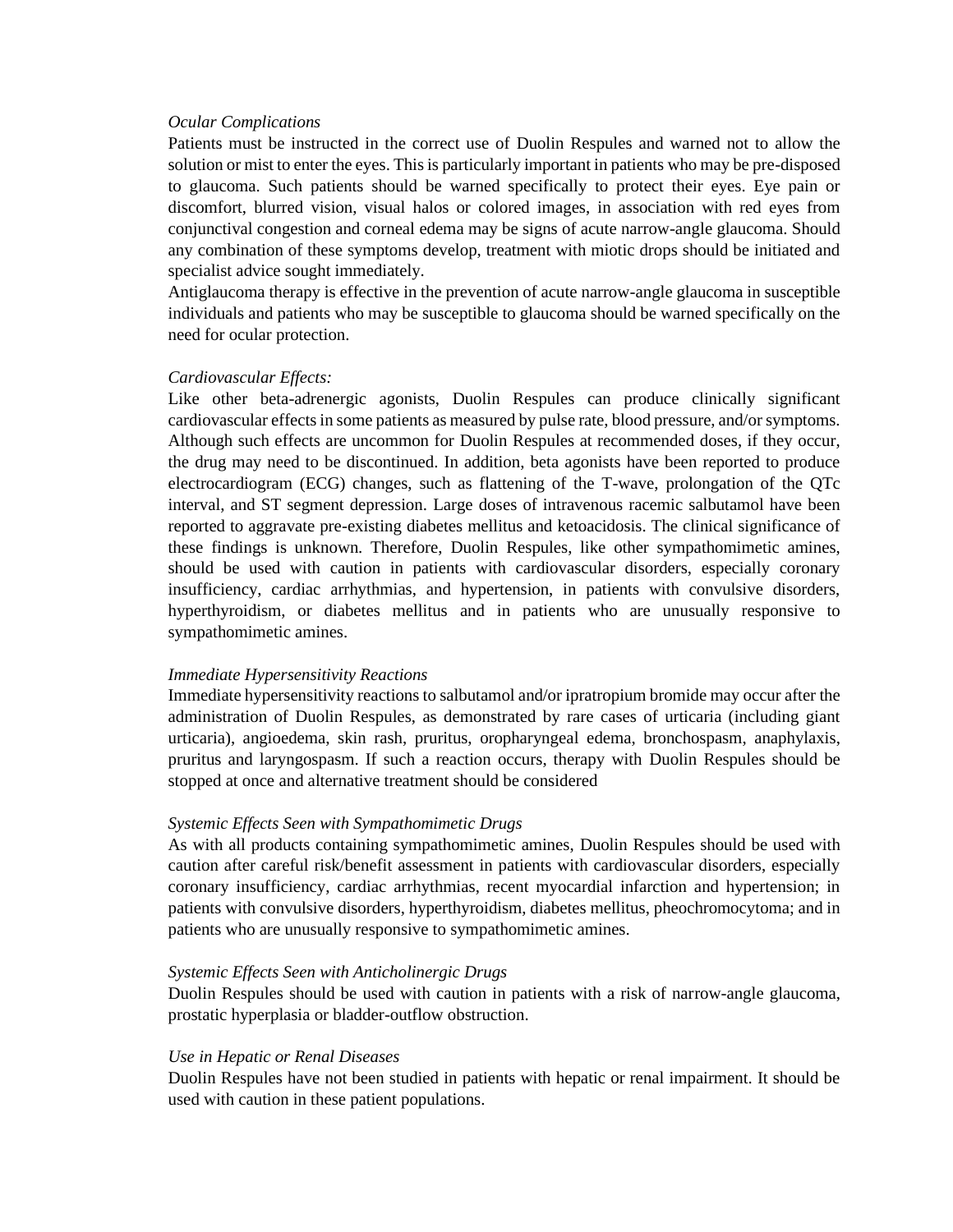#### *Ocular Complications*

Patients must be instructed in the correct use of Duolin Respules and warned not to allow the solution or mist to enter the eyes. This is particularly important in patients who may be pre-disposed to glaucoma. Such patients should be warned specifically to protect their eyes. Eye pain or discomfort, blurred vision, visual halos or colored images, in association with red eyes from conjunctival congestion and corneal edema may be signs of acute narrow-angle glaucoma. Should any combination of these symptoms develop, treatment with miotic drops should be initiated and specialist advice sought immediately.

Antiglaucoma therapy is effective in the prevention of acute narrow-angle glaucoma in susceptible individuals and patients who may be susceptible to glaucoma should be warned specifically on the need for ocular protection.

#### *Cardiovascular Effects:*

Like other beta-adrenergic agonists, Duolin Respules can produce clinically significant cardiovascular effects in some patients as measured by pulse rate, blood pressure, and/or symptoms. Although such effects are uncommon for Duolin Respules at recommended doses, if they occur, the drug may need to be discontinued. In addition, beta agonists have been reported to produce electrocardiogram (ECG) changes, such as flattening of the T-wave, prolongation of the QTc interval, and ST segment depression. Large doses of intravenous racemic salbutamol have been reported to aggravate pre-existing diabetes mellitus and ketoacidosis. The clinical significance of these findings is unknown. Therefore, Duolin Respules, like other sympathomimetic amines, should be used with caution in patients with cardiovascular disorders, especially coronary insufficiency, cardiac arrhythmias, and hypertension, in patients with convulsive disorders, hyperthyroidism, or diabetes mellitus and in patients who are unusually responsive to sympathomimetic amines.

#### *Immediate Hypersensitivity Reactions*

Immediate hypersensitivity reactions to salbutamol and/or ipratropium bromide may occur after the administration of Duolin Respules, as demonstrated by rare cases of urticaria (including giant urticaria), angioedema, skin rash, pruritus, oropharyngeal edema, bronchospasm, anaphylaxis, pruritus and laryngospasm. If such a reaction occurs, therapy with Duolin Respules should be stopped at once and alternative treatment should be considered

### *Systemic Effects Seen with Sympathomimetic Drugs*

As with all products containing sympathomimetic amines, Duolin Respules should be used with caution after careful risk/benefit assessment in patients with cardiovascular disorders, especially coronary insufficiency, cardiac arrhythmias, recent myocardial infarction and hypertension; in patients with convulsive disorders, hyperthyroidism, diabetes mellitus, pheochromocytoma; and in patients who are unusually responsive to sympathomimetic amines.

#### *Systemic Effects Seen with Anticholinergic Drugs*

Duolin Respules should be used with caution in patients with a risk of narrow-angle glaucoma, prostatic hyperplasia or bladder-outflow obstruction.

#### *Use in Hepatic or Renal Diseases*

Duolin Respules have not been studied in patients with hepatic or renal impairment. It should be used with caution in these patient populations.